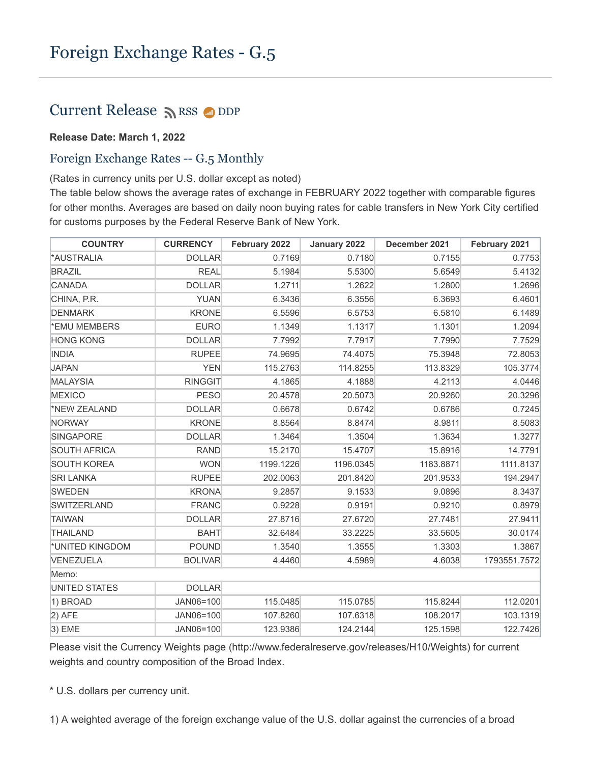## Current Release  $\sum$  [RSS](https://www.federalreserve.gov/feeds)  $\bigcirc$  [DDP](https://www.federalreserve.gov/datadownload/Choose.aspx?rel=H10)

## **Release Date: March 1, 2022**

## Foreign Exchange Rates -- G.5 Monthly

(Rates in currency units per U.S. dollar except as noted)

The table below shows the average rates of exchange in FEBRUARY 2022 together with comparable figures for other months. Averages are based on daily noon buying rates for cable transfers in New York City certified for customs purposes by the Federal Reserve Bank of New York.

| <b>COUNTRY</b>      | <b>CURRENCY</b> | February 2022 | January 2022 | December 2021 | February 2021 |
|---------------------|-----------------|---------------|--------------|---------------|---------------|
| *AUSTRALIA          | <b>DOLLAR</b>   | 0.7169        | 0.7180       | 0.7155        | 0.7753        |
| <b>BRAZIL</b>       | <b>REAL</b>     | 5.1984        | 5.5300       | 5.6549        | 5.4132        |
| CANADA              | <b>DOLLAR</b>   | 1.2711        | 1.2622       | 1.2800        | 1.2696        |
| CHINA, P.R.         | <b>YUAN</b>     | 6.3436        | 6.3556       | 6.3693        | 6.4601        |
| <b>DENMARK</b>      | <b>KRONE</b>    | 6.5596        | 6.5753       | 6.5810        | 6.1489        |
| *EMU MEMBERS        | <b>EURO</b>     | 1.1349        | 1.1317       | 1.1301        | 1.2094        |
| <b>HONG KONG</b>    | <b>DOLLAR</b>   | 7.7992        | 7.7917       | 7.7990        | 7.7529        |
| <b>INDIA</b>        | <b>RUPEE</b>    | 74.9695       | 74.4075      | 75.3948       | 72.8053       |
| <b>JAPAN</b>        | <b>YEN</b>      | 115.2763      | 114.8255     | 113.8329      | 105.3774      |
| MALAYSIA            | <b>RINGGIT</b>  | 4.1865        | 4.1888       | 4.2113        | 4.0446        |
| MEXICO              | <b>PESO</b>     | 20.4578       | 20.5073      | 20.9260       | 20.3296       |
| *NEW ZEALAND        | <b>DOLLAR</b>   | 0.6678        | 0.6742       | 0.6786        | 0.7245        |
| NORWAY              | <b>KRONE</b>    | 8.8564        | 8.8474       | 8.9811        | 8.5083        |
| <b>SINGAPORE</b>    | <b>DOLLAR</b>   | 1.3464        | 1.3504       | 1.3634        | 1.3277        |
| <b>SOUTH AFRICA</b> | <b>RAND</b>     | 15.2170       | 15.4707      | 15.8916       | 14.7791       |
| <b>SOUTH KOREA</b>  | <b>WON</b>      | 1199.1226     | 1196.0345    | 1183.8871     | 1111.8137     |
| <b>SRI LANKA</b>    | <b>RUPEE</b>    | 202.0063      | 201.8420     | 201.9533      | 194.2947      |
| <b>SWEDEN</b>       | <b>KRONA</b>    | 9.2857        | 9.1533       | 9.0896        | 8.3437        |
| SWITZERLAND         | <b>FRANC</b>    | 0.9228        | 0.9191       | 0.9210        | 0.8979        |
| TAIWAN              | <b>DOLLAR</b>   | 27.8716       | 27.6720      | 27.7481       | 27.9411       |
| <b>THAILAND</b>     | <b>BAHT</b>     | 32.6484       | 33.2225      | 33.5605       | 30.0174       |
| *UNITED KINGDOM     | <b>POUND</b>    | 1.3540        | 1.3555       | 1.3303        | 1.3867        |
| VENEZUELA           | <b>BOLIVAR</b>  | 4.4460        | 4.5989       | 4.6038        | 1793551.7572  |
| Memo:               |                 |               |              |               |               |
| UNITED STATES       | <b>DOLLAR</b>   |               |              |               |               |
| 1) BROAD            | JAN06=100       | 115.0485      | 115.0785     | 115.8244      | 112.0201      |
| $ 2)$ AFE           | JAN06=100       | 107.8260      | 107.6318     | 108.2017      | 103.1319      |
| $ 3)$ EME           | JAN06=100       | 123.9386      | 124.2144     | 125.1598      | 122.7426      |

Please visit the Currency Weights page (http://www.federalreserve.gov/releases/H10/Weights) for current weights and country composition of the Broad Index.

\* U.S. dollars per currency unit.

1) A weighted average of the foreign exchange value of the U.S. dollar against the currencies of a broad